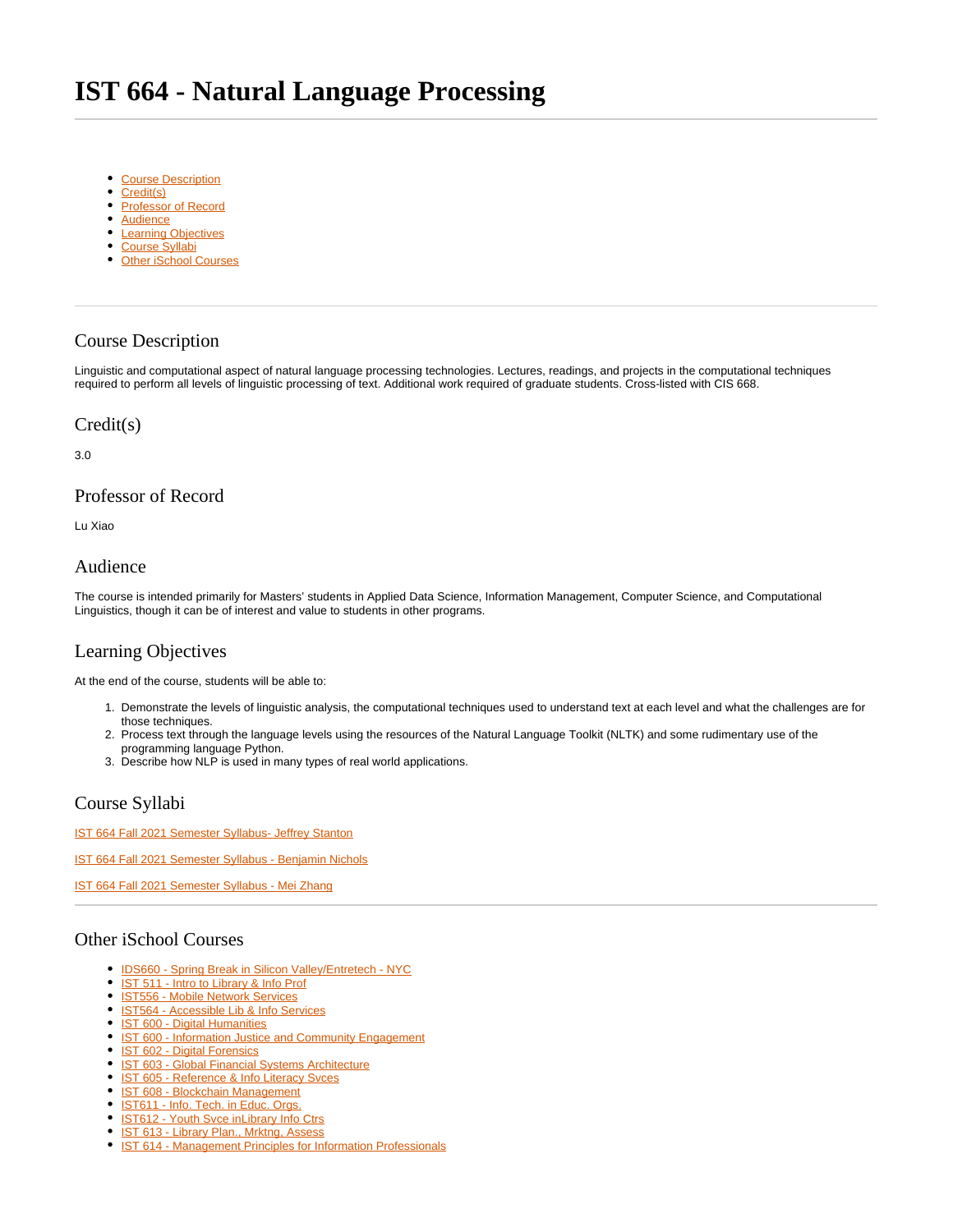# <span id="page-0-7"></span>**IST 664 - Natural Language Processing**

- [Course Description](#page-0-0)
- [Credit\(s\)](#page-0-1)
- [Professor of Record](#page-0-2)
- [Audience](#page-0-3)
- [Learning Objectives](#page-0-4)
- [Course Syllabi](#page-0-5)
- [Other iSchool Courses](#page-0-6)

# <span id="page-0-0"></span>Course Description

Linguistic and computational aspect of natural language processing technologies. Lectures, readings, and projects in the computational techniques required to perform all levels of linguistic processing of text. Additional work required of graduate students. Cross-listed with CIS 668.

#### <span id="page-0-1"></span>Credit(s)

3.0

# <span id="page-0-2"></span>Professor of Record

Lu Xiao

#### <span id="page-0-3"></span>Audience

The course is intended primarily for Masters' students in Applied Data Science, Information Management, Computer Science, and Computational Linguistics, though it can be of interest and value to students in other programs.

# <span id="page-0-4"></span>Learning Objectives

At the end of the course, students will be able to:

- 1. Demonstrate the levels of linguistic analysis, the computational techniques used to understand text at each level and what the challenges are for those techniques.
- 2. Process text through the language levels using the resources of the Natural Language Toolkit (NLTK) and some rudimentary use of the programming language Python.
- 3. Describe how NLP is used in many types of real world applications.

# <span id="page-0-5"></span>Course Syllabi

[IST 664 Fall 2021 Semester Syllabus- Jeffrey Stanton](https://sumailsyr.sharepoint.com/:b:/s/iSchool2/ETcxLJ3LgzxGuYItoMaywFMBxnsLN5JiD_PPNjPEJEZEfg?e=jXCf8K) [IST 664 Fall 2021 Semester Syllabus - Benjamin Nichols](https://sumailsyr.sharepoint.com/:w:/s/iSchool2/EaczkmI-BTZCjQYApgCu9_ABQ53Taqdy49_TMx5K8viijg?e=0Ku9lB)

[IST 664 Fall 2021 Semester Syllabus - Mei Zhang](https://sumailsyr.sharepoint.com/:w:/s/iSchool2/EcnEOTQOOEtMjJ0JDTooCF4BLAZqs3ndGbeGVIlx8sSX2Q?e=lFZCdx)

### <span id="page-0-6"></span>Other iSchool Courses

- [IDS660 Spring Break in Silicon Valley/Entretech NYC](https://answers.syr.edu/pages/viewpage.action?pageId=105105587)
- [IST 511 Intro to Library & Info Prof](https://answers.syr.edu/pages/viewpage.action?pageId=105104273)
- **[IST556 Mobile Network Services](https://answers.syr.edu/display/ischool/IST556+-+Mobile+Network+Services)**
- [IST564 Accessible Lib & Info Services](https://answers.syr.edu/pages/viewpage.action?pageId=105104276)
- [IST 600 Digital Humanities](https://answers.syr.edu/display/ischool/IST+600+-+Digital+Humanities)
- [IST 600 Information Justice and Community Engagement](https://answers.syr.edu/display/ischool/IST+600+-+Information+Justice+and+Community+Engagement)
- [IST 602 Digital Forensics](https://answers.syr.edu/display/ischool/IST+602+-+Digital+Forensics)
- [IST 603 Global Financial Systems Architecture](https://answers.syr.edu/display/ischool/IST+603+-+Global+Financial+Systems+Architecture)
- [IST 605 Reference & Info Literacy Svces](https://answers.syr.edu/pages/viewpage.action?pageId=105104280)
- **[IST 608 Blockchain Management](https://answers.syr.edu/display/ischool/IST+608+-+Blockchain+Management)**
- [IST611 Info. Tech. in Educ. Orgs.](https://answers.syr.edu/pages/viewpage.action?pageId=105104284)
- [IST612 Youth Svce inLibrary Info Ctrs](https://answers.syr.edu/display/ischool/IST612+-+Youth+Svce+inLibrary+Info+Ctrs)
- <sup>•</sup> [IST 613 Library Plan., Mrktng, Assess](https://answers.syr.edu/display/ischool/IST+613+-+Library+Plan.%2C+Mrktng%2C+Assess)
- <sup>o</sup> [IST 614 Management Principles for Information Professionals](https://answers.syr.edu/display/ischool/IST+614+-+Management+Principles+for+Information+Professionals)